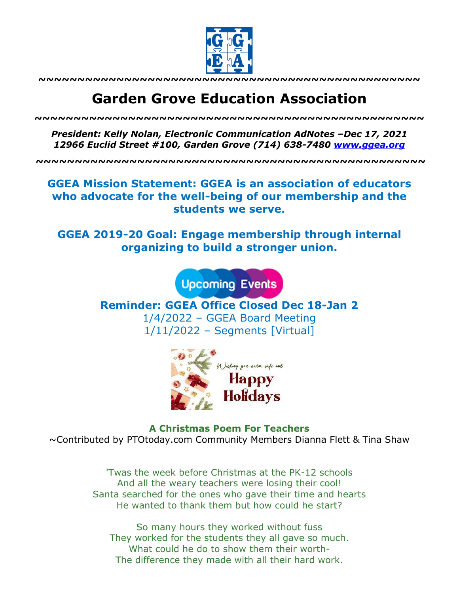

**~~~~~~~~~~~~~~~~~~~~~~~~~~~~~~~~~~~~~~~~~~~~~~~~~**

# **Garden Grove Education Association**

*~~~~~~~~~~~~~~~~~~~~~~~~~~~~~~~~~~~~~~~~~~~~~~~~~~*

*President: Kelly Nolan, Electronic Communication AdNotes –Dec 17, 2021 12966 Euclid Street #100, Garden Grove (714) 638-7480 www.ggea.org*

**~~~~~~~~~~~~~~~~~~~~~~~~~~~~~~~~~~~~~~~~~~~~~~~~~~**

**GGEA Mission Statement: GGEA is an association of educators who advocate for the well-being of our membership and the students we serve.**

**GGEA 2019-20 Goal: Engage membership through internal organizing to build a stronger union.**

**Upcoming Events** 

**Reminder: GGEA Office Closed Dec 18-Jan 2** 1/4/2022 – GGEA Board Meeting 1/11/2022 – Segments [Virtual]



**A Christmas Poem For Teachers** ~Contributed by PTOtoday.com Community Members Dianna Flett & Tina Shaw

> 'Twas the week before Christmas at the PK-12 schools And all the weary teachers were losing their cool! Santa searched for the ones who gave their time and hearts He wanted to thank them but how could he start?

So many hours they worked without fuss They worked for the students they all gave so much. What could he do to show them their worth-The difference they made with all their hard work.